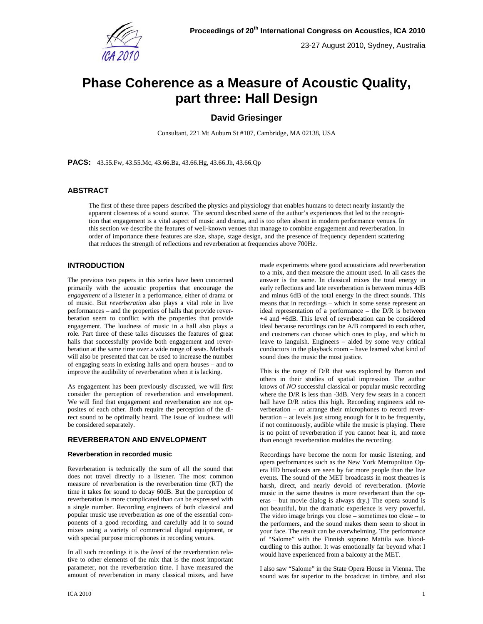

# **Phase Coherence as a Measure of Acoustic Quality, part three: Hall Design**

# **David Griesinger**

Consultant, 221 Mt Auburn St #107, Cambridge, MA 02138, USA

**PACS:** 43.55.Fw, 43.55.Mc, 43.66.Ba, 43.66.Hg, 43.66.Jh, 43.66.Qp

# **ABSTRACT**

The first of these three papers described the physics and physiology that enables humans to detect nearly instantly the apparent closeness of a sound source. The second described some of the author's experiences that led to the recognition that engagement is a vital aspect of music and drama, and is too often absent in modern performance venues. In this section we describe the features of well-known venues that manage to combine engagement and reverberation. In order of importance these features are size, shape, stage design, and the presence of frequency dependent scattering that reduces the strength of reflections and reverberation at frequencies above 700Hz.

# **INTRODUCTION**

The previous two papers in this series have been concerned primarily with the acoustic properties that encourage the *engagement* of a listener in a performance, either of drama or of music. But *reverberation* also plays a vital role in live performances – and the properties of halls that provide reverberation seem to conflict with the properties that provide engagement. The loudness of music in a hall also plays a role. Part three of these talks discusses the features of great halls that successfully provide both engagement and reverberation at the same time over a wide range of seats. Methods will also be presented that can be used to increase the number of engaging seats in existing halls and opera houses – and to improve the audibility of reverberation when it is lacking.

As engagement has been previously discussed, we will first consider the perception of reverberation and envelopment. We will find that engagement and reverberation are not opposites of each other. Both require the perception of the direct sound to be optimally heard. The issue of loudness will be considered separately.

# **REVERBERATON AND ENVELOPMENT**

#### **Reverberation in recorded music**

Reverberation is technically the sum of all the sound that does not travel directly to a listener. The most common measure of reverberation is the reverberation time (RT) the time it takes for sound to decay 60dB. But the perception of reverberation is more complicated than can be expressed with a single number. Recording engineers of both classical and popular music use reverberation as one of the essential components of a good recording, and carefully add it to sound mixes using a variety of commercial digital equipment, or with special purpose microphones in recording venues.

In all such recordings it is the *level* of the reverberation relative to other elements of the mix that is the most important parameter, not the reverberation time. I have measured the amount of reverberation in many classical mixes, and have made experiments where good acousticians add reverberation to a mix, and then measure the amount used. In all cases the answer is the same. In classical mixes the total energy in early reflections and late reverberation is between minus 4dB and minus 6dB of the total energy in the direct sounds. This means that in recordings – which in some sense represent an ideal representation of a performance – the D/R is between +4 and +6dB. This level of reverberation can be considered ideal because recordings can be A/B compared to each other, and customers can choose which ones to play, and which to leave to languish. Engineers – aided by some very critical conductors in the playback room – have learned what kind of sound does the music the most justice.

This is the range of D/R that was explored by Barron and others in their studies of spatial impression. The author knows of *NO* successful classical or popular music recording where the D/R is less than -3dB. Very few seats in a concert hall have D/R ratios this high. Recording engineers add reverberation – or arrange their microphones to record reverberation – at levels just strong enough for it to be frequently, if not continuously, audible while the music is playing. There is no point of reverberation if you cannot hear it, and more than enough reverberation muddies the recording.

Recordings have become the norm for music listening, and opera performances such as the New York Metropolitan Opera HD broadcasts are seen by far more people than the live events. The sound of the MET broadcasts in most theatres is harsh, direct, and nearly devoid of reverberation. (Movie music in the same theatres is more reverberant than the operas – but movie dialog is always dry.) The opera sound is not beautiful, but the dramatic experience is very powerful. The video image brings you close – sometimes too close – to the performers, and the sound makes them seem to shout in your face. The result can be overwhelming. The performance of "Salome" with the Finnish soprano Mattila was bloodcurdling to this author. It was emotionally far beyond what I would have experienced from a balcony at the MET.

I also saw "Salome" in the State Opera House in Vienna. The sound was far superior to the broadcast in timbre, and also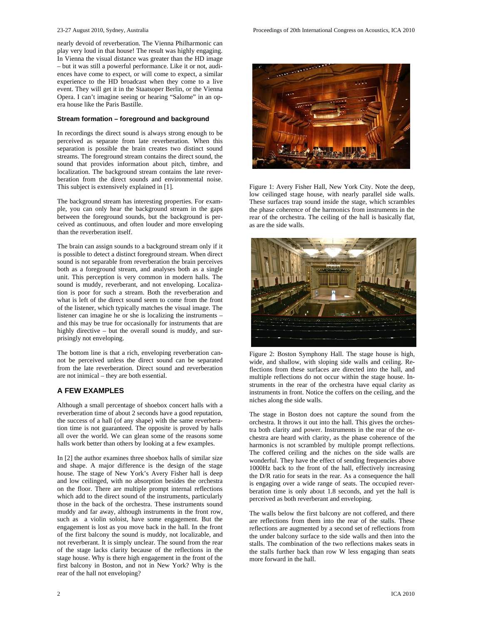nearly devoid of reverberation. The Vienna Philharmonic can play very loud in that house! The result was highly engaging. In Vienna the visual distance was greater than the HD image – but it was still a powerful performance. Like it or not, audiences have come to expect, or will come to expect, a similar experience to the HD broadcast when they come to a live event. They will get it in the Staatsoper Berlin, or the Vienna Opera. I can't imagine seeing or hearing "Salome" in an opera house like the Paris Bastille.

#### **Stream formation – foreground and background**

In recordings the direct sound is always strong enough to be perceived as separate from late reverberation. When this separation is possible the brain creates two distinct sound streams. The foreground stream contains the direct sound, the sound that provides information about pitch, timbre, and localization. The background stream contains the late reverberation from the direct sounds and environmental noise. This subject is extensively explained in [1].

The background stream has interesting properties. For example, you can only hear the background stream in the gaps between the foreground sounds, but the background is perceived as continuous, and often louder and more enveloping than the reverberation itself.

The brain can assign sounds to a background stream only if it is possible to detect a distinct foreground stream. When direct sound is not separable from reverberation the brain perceives both as a foreground stream, and analyses both as a single unit. This perception is very common in modern halls. The sound is muddy, reverberant, and not enveloping. Localization is poor for such a stream. Both the reverberation and what is left of the direct sound seem to come from the front of the listener, which typically matches the visual image. The listener can imagine he or she is localizing the instruments – and this may be true for occasionally for instruments that are highly directive – but the overall sound is muddy, and surprisingly not enveloping.

The bottom line is that a rich, enveloping reverberation cannot be perceived unless the direct sound can be separated from the late reverberation. Direct sound and reverberation are not inimical – they are both essential.

# **A FEW EXAMPLES**

Although a small percentage of shoebox concert halls with a reverberation time of about 2 seconds have a good reputation, the success of a hall (of any shape) with the same reverberation time is not guaranteed. The opposite is proved by halls all over the world. We can glean some of the reasons some halls work better than others by looking at a few examples.

In [2] the author examines three shoebox halls of similar size and shape. A major difference is the design of the stage house. The stage of New York's Avery Fisher hall is deep and low ceilinged, with no absorption besides the orchestra on the floor. There are multiple prompt internal reflections which add to the direct sound of the instruments, particularly those in the back of the orchestra. These instruments sound muddy and far away, although instruments in the front row, such as a violin soloist, have some engagement. But the engagement is lost as you move back in the hall. In the front of the first balcony the sound is muddy, not localizable, and not reverberant. It is simply unclear. The sound from the rear of the stage lacks clarity because of the reflections in the stage house. Why is there high engagement in the front of the first balcony in Boston, and not in New York? Why is the rear of the hall not enveloping?



Figure 1: Avery Fisher Hall, New York City. Note the deep, low ceilinged stage house, with nearly parallel side walls. These surfaces trap sound inside the stage, which scrambles the phase coherence of the harmonics from instruments in the rear of the orchestra. The ceiling of the hall is basically flat, as are the side walls.



Figure 2: Boston Symphony Hall. The stage house is high, wide, and shallow, with sloping side walls and ceiling. Reflections from these surfaces are directed into the hall, and multiple reflections do not occur within the stage house. Instruments in the rear of the orchestra have equal clarity as instruments in front. Notice the coffers on the ceiling, and the niches along the side walls.

The stage in Boston does not capture the sound from the orchestra. It throws it out into the hall. This gives the orchestra both clarity and power. Instruments in the rear of the orchestra are heard with clarity, as the phase coherence of the harmonics is not scrambled by multiple prompt reflections. The coffered ceiling and the niches on the side walls are wonderful. They have the effect of sending frequencies above 1000Hz back to the front of the hall, effectively increasing the D/R ratio for seats in the rear. As a consequence the hall is engaging over a wide range of seats. The occupied reverberation time is only about 1.8 seconds, and yet the hall is perceived as both reverberant and enveloping.

The walls below the first balcony are not coffered, and there are reflections from them into the rear of the stalls. These reflections are augmented by a second set of reflections from the under balcony surface to the side walls and then into the stalls. The combination of the two reflections makes seats in the stalls further back than row W less engaging than seats more forward in the hall.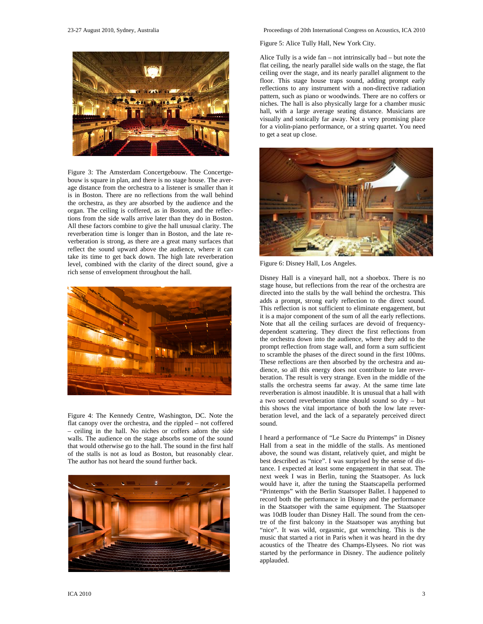

Figure 3: The Amsterdam Concertgebouw. The Concertgebouw is square in plan, and there is no stage house. The average distance from the orchestra to a listener is smaller than it is in Boston. There are no reflections from the wall behind the orchestra, as they are absorbed by the audience and the organ. The ceiling is coffered, as in Boston, and the reflections from the side walls arrive later than they do in Boston. All these factors combine to give the hall unusual clarity. The reverberation time is longer than in Boston, and the late reverberation is strong, as there are a great many surfaces that reflect the sound upward above the audience, where it can take its time to get back down. The high late reverberation level, combined with the clarity of the direct sound, give a rich sense of envelopment throughout the hall.



Figure 4: The Kennedy Centre, Washington, DC. Note the flat canopy over the orchestra, and the rippled – not coffered – ceiling in the hall. No niches or coffers adorn the side walls. The audience on the stage absorbs some of the sound that would otherwise go to the hall. The sound in the first half of the stalls is not as loud as Boston, but reasonably clear. The author has not heard the sound further back.



#### 23-27 August 2010, Sydney, Australia Proceedings of 20th International Congress on Acoustics, ICA 2010

Figure 5: Alice Tully Hall, New York City.

Alice Tully is a wide fan – not intrinsically bad – but note the flat ceiling, the nearly parallel side walls on the stage, the flat ceiling over the stage, and its nearly parallel alignment to the floor. This stage house traps sound, adding prompt early reflections to any instrument with a non-directive radiation pattern, such as piano or woodwinds. There are no coffers or niches. The hall is also physically large for a chamber music hall, with a large average seating distance. Musicians are visually and sonically far away. Not a very promising place for a violin-piano performance, or a string quartet. You need to get a seat up close.



Figure 6: Disney Hall, Los Angeles.

Disney Hall is a vineyard hall, not a shoebox. There is no stage house, but reflections from the rear of the orchestra are directed into the stalls by the wall behind the orchestra. This adds a prompt, strong early reflection to the direct sound. This reflection is not sufficient to eliminate engagement, but it is a major component of the sum of all the early reflections. Note that all the ceiling surfaces are devoid of frequencydependent scattering. They direct the first reflections from the orchestra down into the audience, where they add to the prompt reflection from stage wall, and form a sum sufficient to scramble the phases of the direct sound in the first 100ms. These reflections are then absorbed by the orchestra and audience, so all this energy does not contribute to late reverberation. The result is very strange. Even in the middle of the stalls the orchestra seems far away. At the same time late reverberation is almost inaudible. It is unusual that a hall with a two second reverberation time should sound so dry – but this shows the vital importance of both the low late reverberation level, and the lack of a separately perceived direct sound.

I heard a performance of "Le Sacre du Printemps" in Disney Hall from a seat in the middle of the stalls. As mentioned above, the sound was distant, relatively quiet, and might be best described as "nice". I was surprised by the sense of distance. I expected at least some engagement in that seat. The next week I was in Berlin, tuning the Staatsoper. As luck would have it, after the tuning the Staatscapella performed "Printemps" with the Berlin Staatsoper Ballet. I happened to record both the performance in Disney and the performance in the Staatsoper with the same equipment. The Staatsoper was 10dB louder than Disney Hall. The sound from the centre of the first balcony in the Staatsoper was anything but "nice". It was wild, orgasmic, gut wrenching. This is the music that started a riot in Paris when it was heard in the dry acoustics of the Theatre des Champs-Elysees. No riot was started by the performance in Disney. The audience politely applauded.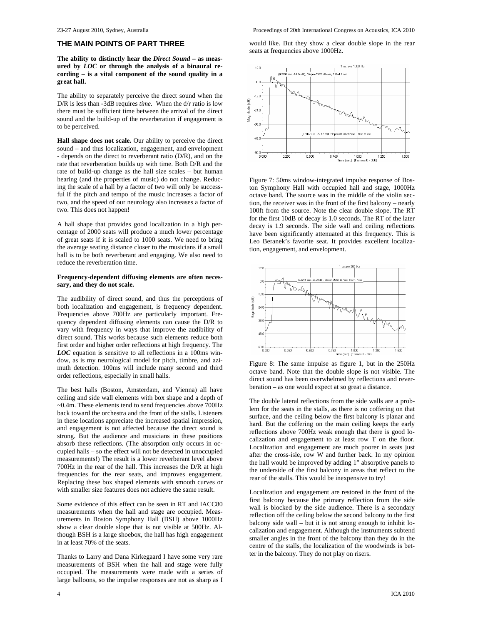#### **THE MAIN POINTS OF PART THREE**

**The ability to distinctly hear the** *Direct Sound –* **as measured by** *LOC* **or through the analysis of a binaural recording – is a vital component of the sound quality in a great hall.** 

The ability to separately perceive the direct sound when the D/R is less than -3dB requires *time.* When the d/r ratio is low there must be sufficient time between the arrival of the direct sound and the build-up of the reverberation if engagement is to be perceived.

**Hall shape does not scale.** Our ability to perceive the direct sound – and thus localization, engagement, and envelopment - depends on the direct to reverberant ratio (D/R), and on the rate that reverberation builds up with time. Both D/R and the rate of build-up change as the hall size scales – but human hearing (and the properties of music) do not change. Reducing the scale of a hall by a factor of two will only be successful if the pitch and tempo of the music increases a factor of two, and the speed of our neurology also increases a factor of two. This does not happen!

A hall shape that provides good localization in a high percentage of 2000 seats will produce a much lower percentage of great seats if it is scaled to 1000 seats. We need to bring the average seating distance closer to the musicians if a small hall is to be both reverberant and engaging. We also need to reduce the reverberation time.

#### **Frequency-dependent diffusing elements are often necessary, and they do not scale.**

The audibility of direct sound, and thus the perceptions of both localization and engagement, is frequency dependent. Frequencies above 700Hz are particularly important. Frequency dependent diffusing elements can cause the D/R to vary with frequency in ways that improve the audibility of direct sound. This works because such elements reduce both first order and higher order reflections at high frequency. The *LOC* equation is sensitive to all reflections in a 100ms window, as is my neurological model for pitch, timbre, and azimuth detection. 100ms will include many second and third order reflections, especially in small halls.

The best halls (Boston, Amsterdam, and Vienna) all have ceiling and side wall elements with box shape and a depth of ~0.4m. These elements tend to send frequencies above 700Hz back toward the orchestra and the front of the stalls. Listeners in these locations appreciate the increased spatial impression, and engagement is not affected because the direct sound is strong. But the audience and musicians in these positions absorb these reflections. (The absorption only occurs in occupied halls – so the effect will not be detected in unoccupied measurements!) The result is a lower reverberant level above 700Hz in the rear of the hall. This increases the D/R at high frequencies for the rear seats, and improves engagement. Replacing these box shaped elements with smooth curves or with smaller size features does not achieve the same result.

Some evidence of this effect can be seen in RT and IACC80 measurements when the hall and stage are occupied. Measurements in Boston Symphony Hall (BSH) above 1000Hz show a clear double slope that is not visible at 500Hz. Although BSH is a large shoebox, the hall has high engagement in at least 70% of the seats.

Thanks to Larry and Dana Kirkegaard I have some very rare measurements of BSH when the hall and stage were fully occupied. The measurements were made with a series of large balloons, so the impulse responses are not as sharp as I would like. But they show a clear double slope in the rear seats at frequencies above 1000Hz.



Figure 7: 50ms window-integrated impulse response of Boston Symphony Hall with occupied hall and stage, 1000Hz octave band. The source was in the middle of the violin section, the receiver was in the front of the first balcony – nearly 100ft from the source. Note the clear double slope. The RT for the first 10dB of decay is 1.0 seconds. The RT of the later decay is 1.9 seconds. The side wall and ceiling reflections have been significantly attenuated at this frequency. This is Leo Beranek's favorite seat. It provides excellent localization, engagement, and envelopment.



Figure 8: The same impulse as figure 1, but in the 250Hz octave band. Note that the double slope is not visible. The direct sound has been overwhelmed by reflections and reverberation – as one would expect at so great a distance.

The double lateral reflections from the side walls are a problem for the seats in the stalls, as there is no coffering on that surface, and the ceiling below the first balcony is planar and hard. But the coffering on the main ceiling keeps the early reflections above 700Hz weak enough that there is good localization and engagement to at least row T on the floor. Localization and engagement are much poorer in seats just after the cross-isle, row W and further back. In my opinion the hall would be improved by adding 1" absorptive panels to the underside of the first balcony in areas that reflect to the rear of the stalls. This would be inexpensive to try!

Localization and engagement are restored in the front of the first balcony because the primary reflection from the side wall is blocked by the side audience. There is a secondary reflection off the ceiling below the second balcony to the first balcony side wall – but it is not strong enough to inhibit localization and engagement. Although the instruments subtend smaller angles in the front of the balcony than they do in the centre of the stalls, the localization of the woodwinds is better in the balcony. They do not play on risers.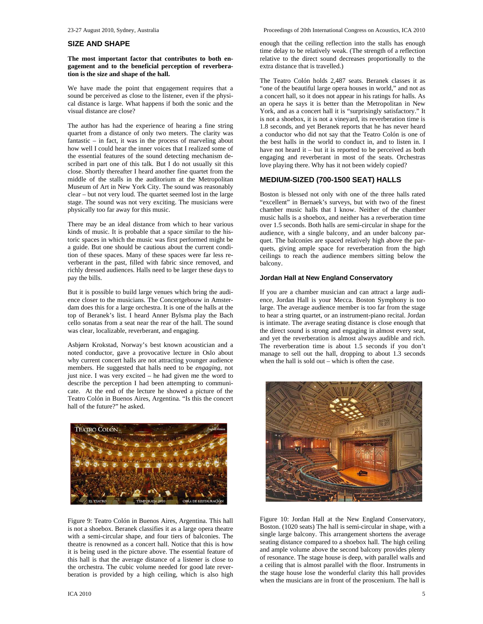#### **SIZE AND SHAPE**

#### **The most important factor that contributes to both engagement and to the beneficial perception of reverberation is the size and shape of the hall.**

We have made the point that engagement requires that a sound be perceived as close to the listener, even if the physical distance is large. What happens if both the sonic and the visual distance are close?

The author has had the experience of hearing a fine string quartet from a distance of only two meters. The clarity was fantastic – in fact, it was in the process of marveling about how well I could hear the inner voices that I realized some of the essential features of the sound detecting mechanism described in part one of this talk. But I do not usually sit this close. Shortly thereafter I heard another fine quartet from the middle of the stalls in the auditorium at the Metropolitan Museum of Art in New York City. The sound was reasonably clear – but not very loud. The quartet seemed lost in the large stage. The sound was not very exciting. The musicians were physically too far away for this music.

There may be an ideal distance from which to hear various kinds of music. It is probable that a space similar to the historic spaces in which the music was first performed might be a guide. But one should be cautious about the current condition of these spaces. Many of these spaces were far less reverberant in the past, filled with fabric since removed, and richly dressed audiences. Halls need to be larger these days to pay the bills.

But it is possible to build large venues which bring the audience closer to the musicians. The Concertgebouw in Amsterdam does this for a large orchestra. It is one of the halls at the top of Beranek's list. I heard Anner Bylsma play the Bach cello sonatas from a seat near the rear of the hall. The sound was clear, localizable, reverberant, and engaging.

Asbjørn Krokstad, Norway's best known acoustician and a noted conductor, gave a provocative lecture in Oslo about why current concert halls are not attracting younger audience members. He suggested that halls need to be *engaging*, not just nice. I was very excited – he had given me the word to describe the perception I had been attempting to communicate. At the end of the lecture he showed a picture of the Teatro Colón in Buenos Aires, Argentina. "Is this the concert hall of the future?" he asked.



Figure 9: Teatro Colón in Buenos Aires, Argentina. This hall is not a shoebox. Beranek classifies it as a large opera theatre with a semi-circular shape, and four tiers of balconies. The theatre is renowned as a concert hall. Notice that this is how it is being used in the picture above. The essential feature of this hall is that the average distance of a listener is close to the orchestra. The cubic volume needed for good late reverberation is provided by a high ceiling, which is also high

23-27 August 2010, Sydney, Australia Proceedings of 20th International Congress on Acoustics, ICA 2010

enough that the ceiling reflection into the stalls has enough time delay to be relatively weak. (The strength of a reflection relative to the direct sound decreases proportionally to the extra distance that is travelled.)

The Teatro Colón holds 2,487 seats. Beranek classes it as "one of the beautiful large opera houses in world," and not as a concert hall, so it does not appear in his ratings for halls. As an opera he says it is better than the Metropolitan in New York, and as a concert hall it is "surprisingly satisfactory." It is not a shoebox, it is not a vineyard, its reverberation time is 1.8 seconds, and yet Beranek reports that he has never heard a conductor who did not say that the Teatro Colón is one of the best halls in the world to conduct in, and to listen in. I have not heard it – but it is reported to be perceived as both engaging and reverberant in most of the seats. Orchestras love playing there. Why has it not been widely copied?

# **MEDIUM-SIZED (700-1500 SEAT) HALLS**

Boston is blessed not only with one of the three halls rated "excellent" in Bernaek's surveys, but with two of the finest chamber music halls that I know. Neither of the chamber music halls is a shoebox, and neither has a reverberation time over 1.5 seconds. Both halls are semi-circular in shape for the audience, with a single balcony, and an under balcony parquet. The balconies are spaced relatively high above the parquets, giving ample space for reverberation from the high ceilings to reach the audience members sitting below the balcony.

#### **Jordan Hall at New England Conservatory**

If you are a chamber musician and can attract a large audience, Jordan Hall is your Mecca. Boston Symphony is too large. The average audience member is too far from the stage to hear a string quartet, or an instrument-piano recital. Jordan is intimate. The average seating distance is close enough that the direct sound is strong and engaging in almost every seat, and yet the reverberation is almost always audible and rich. The reverberation time is about 1.5 seconds if you don't manage to sell out the hall, dropping to about 1.3 seconds when the hall is sold out – which is often the case.



Figure 10: Jordan Hall at the New England Conservatory, Boston. (1020 seats) The hall is semi-circular in shape, with a single large balcony. This arrangement shortens the average seating distance compared to a shoebox hall. The high ceiling and ample volume above the second balcony provides plenty of resonance. The stage house is deep, with parallel walls and a ceiling that is almost parallel with the floor. Instruments in the stage house lose the wonderful clarity this hall provides when the musicians are in front of the proscenium. The hall is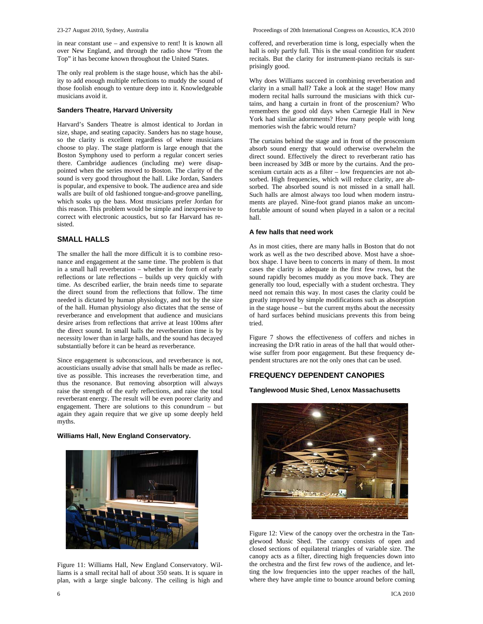in near constant use – and expensive to rent! It is known all over New England, and through the radio show "From the Top" it has become known throughout the United States.

The only real problem is the stage house, which has the ability to add enough multiple reflections to muddy the sound of those foolish enough to venture deep into it. Knowledgeable musicians avoid it.

#### **Sanders Theatre, Harvard University**

Harvard's Sanders Theatre is almost identical to Jordan in size, shape, and seating capacity. Sanders has no stage house, so the clarity is excellent regardless of where musicians choose to play. The stage platform is large enough that the Boston Symphony used to perform a regular concert series there. Cambridge audiences (including me) were disappointed when the series moved to Boston. The clarity of the sound is very good throughout the hall. Like Jordan, Sanders is popular, and expensive to book. The audience area and side walls are built of old fashioned tongue-and-groove panelling, which soaks up the bass. Most musicians prefer Jordan for this reason. This problem would be simple and inexpensive to correct with electronic acoustics, but so far Harvard has resisted.

#### **SMALL HALLS**

The smaller the hall the more difficult it is to combine resonance and engagement at the same time. The problem is that in a small hall reverberation – whether in the form of early reflections or late reflections – builds up very quickly with time. As described earlier, the brain needs time to separate the direct sound from the reflections that follow. The time needed is dictated by human physiology, and not by the size of the hall. Human physiology also dictates that the sense of reverberance and envelopment that audience and musicians desire arises from reflections that arrive at least 100ms after the direct sound. In small halls the reverberation time is by necessity lower than in large halls, and the sound has decayed substantially before it can be heard as reverberance.

Since engagement is subconscious, and reverberance is not, acousticians usually advise that small halls be made as reflective as possible. This increases the reverberation time, and thus the resonance. But removing absorption will always raise the strength of the early reflections, and raise the total reverberant energy. The result will be even poorer clarity and engagement. There are solutions to this conundrum – but again they again require that we give up some deeply held myths.

#### **Williams Hall, New England Conservatory.**



Figure 11: Williams Hall, New England Conservatory. Williams is a small recital hall of about 350 seats. It is square in plan, with a large single balcony. The ceiling is high and

coffered, and reverberation time is long, especially when the hall is only partly full. This is the usual condition for student recitals. But the clarity for instrument-piano recitals is surprisingly good.

Why does Williams succeed in combining reverberation and clarity in a small hall? Take a look at the stage! How many modern recital halls surround the musicians with thick curtains, and hang a curtain in front of the proscenium? Who remembers the good old days when Carnegie Hall in New York had similar adornments? How many people with long memories wish the fabric would return?

The curtains behind the stage and in front of the proscenium absorb sound energy that would otherwise overwhelm the direct sound. Effectively the direct to reverberant ratio has been increased by 3dB or more by the curtains. And the proscenium curtain acts as a filter – low frequencies are not absorbed. High frequencies, which will reduce clarity, are absorbed. The absorbed sound is not missed in a small hall. Such halls are almost always too loud when modern instruments are played. Nine-foot grand pianos make an uncomfortable amount of sound when played in a salon or a recital hall.

# **A few halls that need work**

As in most cities, there are many halls in Boston that do not work as well as the two described above. Most have a shoebox shape. I have been to concerts in many of them. In most cases the clarity is adequate in the first few rows, but the sound rapidly becomes muddy as you move back. They are generally too loud, especially with a student orchestra. They need not remain this way. In most cases the clarity could be greatly improved by simple modifications such as absorption in the stage house – but the current myths about the necessity of hard surfaces behind musicians prevents this from being tried.

Figure 7 shows the effectiveness of coffers and niches in increasing the D/R ratio in areas of the hall that would otherwise suffer from poor engagement. But these frequency dependent structures are not the only ones that can be used.

# **FREQUENCY DEPENDENT CANOPIES**

# **Tanglewood Music Shed, Lenox Massachusetts**



Figure 12: View of the canopy over the orchestra in the Tanglewood Music Shed. The canopy consists of open and closed sections of equilateral triangles of variable size. The canopy acts as a filter, directing high frequencies down into the orchestra and the first few rows of the audience, and letting the low frequencies into the upper reaches of the hall, where they have ample time to bounce around before coming